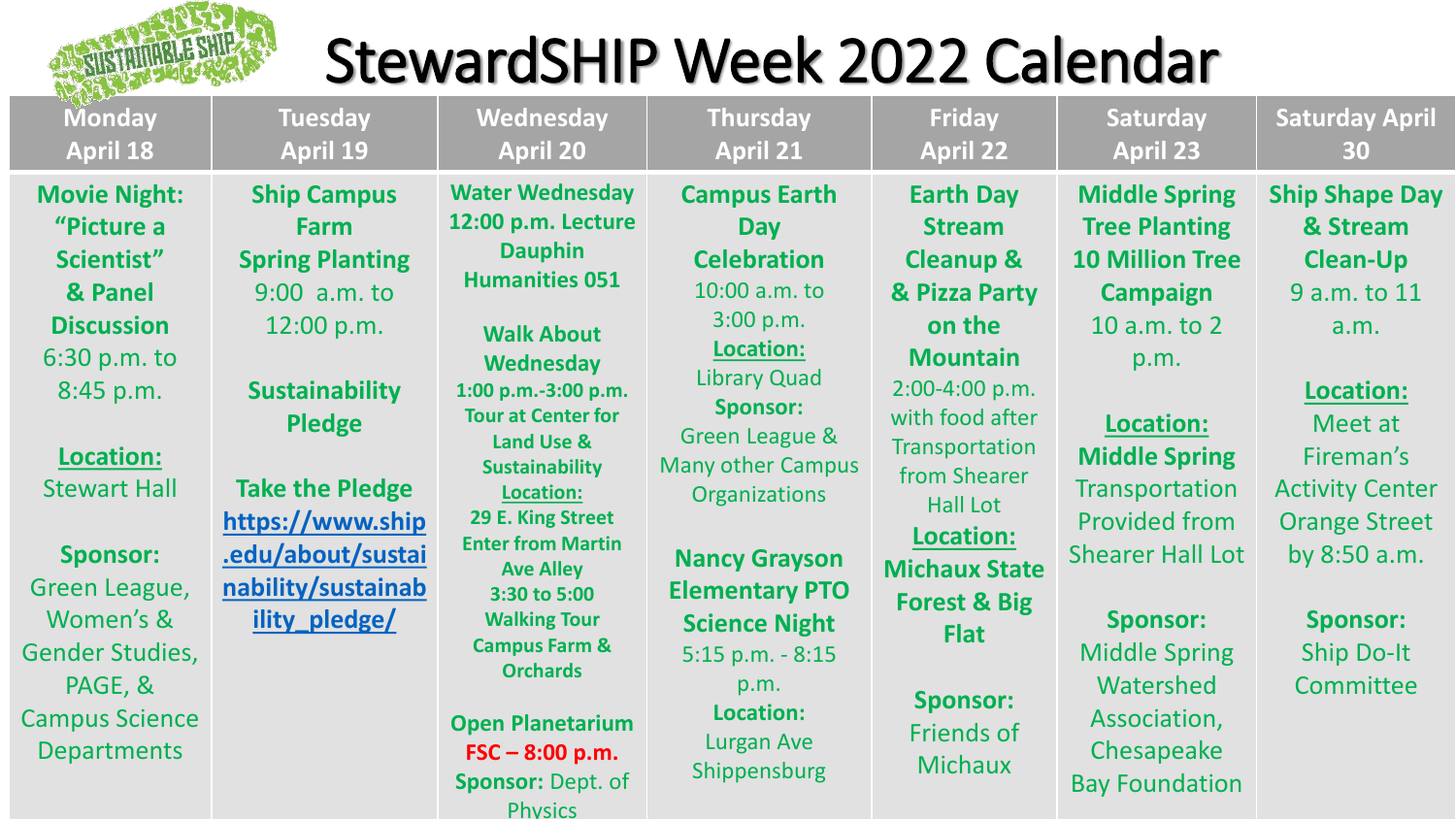

## StewardSHIP Week 2022 Calendar

| <b>Monday</b>                                                                                                  | <b>Tuesday</b>                                                                                                          | <b>Wednesday</b>                                                                                                                                                                                                                                                                                                                                                                                | <b>Thursday</b>                                                                                                                                                | <b>Friday</b>                                                                                                                                                                                                                                                  | Saturday                                                                                                                       | <b>Saturday April</b>                                                                                       |
|----------------------------------------------------------------------------------------------------------------|-------------------------------------------------------------------------------------------------------------------------|-------------------------------------------------------------------------------------------------------------------------------------------------------------------------------------------------------------------------------------------------------------------------------------------------------------------------------------------------------------------------------------------------|----------------------------------------------------------------------------------------------------------------------------------------------------------------|----------------------------------------------------------------------------------------------------------------------------------------------------------------------------------------------------------------------------------------------------------------|--------------------------------------------------------------------------------------------------------------------------------|-------------------------------------------------------------------------------------------------------------|
| <b>April 18</b>                                                                                                | <b>April 19</b>                                                                                                         | <b>April 20</b>                                                                                                                                                                                                                                                                                                                                                                                 | <b>April 21</b>                                                                                                                                                | <b>April 22</b>                                                                                                                                                                                                                                                | <b>April 23</b>                                                                                                                | 30                                                                                                          |
| <b>Movie Night:</b>                                                                                            | <b>Ship Campus</b>                                                                                                      | <b>Water Wednesday</b>                                                                                                                                                                                                                                                                                                                                                                          | <b>Campus Earth</b>                                                                                                                                            | <b>Earth Day</b>                                                                                                                                                                                                                                               | <b>Middle Spring</b>                                                                                                           | <b>Ship Shape Day</b>                                                                                       |
| "Picture a                                                                                                     | Farm                                                                                                                    | 12:00 p.m. Lecture                                                                                                                                                                                                                                                                                                                                                                              | <b>Day</b>                                                                                                                                                     | <b>Stream</b>                                                                                                                                                                                                                                                  | <b>Tree Planting</b>                                                                                                           | & Stream                                                                                                    |
| Scientist"                                                                                                     | <b>Spring Planting</b>                                                                                                  | <b>Dauphin</b>                                                                                                                                                                                                                                                                                                                                                                                  | <b>Celebration</b>                                                                                                                                             | <b>Cleanup &amp;</b>                                                                                                                                                                                                                                           | <b>10 Million Tree</b>                                                                                                         | <b>Clean-Up</b>                                                                                             |
| & Panel                                                                                                        | 9:00 a.m. to                                                                                                            | <b>Humanities 051</b>                                                                                                                                                                                                                                                                                                                                                                           | 10:00 a.m. to                                                                                                                                                  | & Pizza Party                                                                                                                                                                                                                                                  | <b>Campaign</b>                                                                                                                | 9 a.m. to 11                                                                                                |
| <b>Discussion</b><br>6:30 p.m. to<br>8:45 p.m.<br>Location:<br><b>Stewart Hall</b><br><b>Sponsor:</b>          | 12:00 p.m.<br><b>Sustainability</b><br><b>Pledge</b><br><b>Take the Pledge</b><br>https://www.ship<br>.edu/about/sustai | <b>Walk About</b><br><b>Wednesday</b><br>1:00 p.m.-3:00 p.m.<br><b>Tour at Center for</b><br><b>Land Use &amp;</b><br><b>Sustainability</b><br><b>Location:</b><br>29 E. King Street<br><b>Enter from Martin</b><br><b>Ave Alley</b><br>3:30 to 5:00<br><b>Walking Tour</b><br><b>Campus Farm &amp;</b><br><b>Orchards</b><br><b>Open Planetarium</b><br>$FSC - 8:00 p.m.$<br>Sponsor: Dept. of | 3:00 p.m.<br>Location:<br><b>Library Quad</b><br><b>Sponsor:</b><br>Green League &<br><b>Many other Campus</b><br><b>Organizations</b><br><b>Nancy Grayson</b> | on the<br><b>Mountain</b><br>$2:00-4:00 p.m.$<br>with food after<br>Transportation<br>from Shearer<br><b>Hall Lot</b><br>Location:<br><b>Michaux State</b><br><b>Forest &amp; Big</b><br><b>Flat</b><br><b>Sponsor:</b><br><b>Friends of</b><br><b>Michaux</b> | 10 a.m. to 2<br>p.m.<br>Location:<br><b>Middle Spring</b><br>Transportation<br><b>Provided from</b><br><b>Shearer Hall Lot</b> | a.m.<br>Location:<br>Meet at<br>Fireman's<br><b>Activity Center</b><br><b>Orange Street</b><br>by 8:50 a.m. |
| Green League,<br>Women's &<br><b>Gender Studies,</b><br>PAGE, &<br><b>Campus Science</b><br><b>Departments</b> | nability/sustainab<br>ility pledge/                                                                                     |                                                                                                                                                                                                                                                                                                                                                                                                 | <b>Elementary PTO</b><br><b>Science Night</b><br>$5:15$ p.m. $-8:15$<br>p.m.<br>Location:<br>Lurgan Ave<br>Shippensburg                                        |                                                                                                                                                                                                                                                                | <b>Sponsor:</b><br><b>Middle Spring</b><br>Watershed<br>Association,<br>Chesapeake<br><b>Bay Foundation</b>                    | <b>Sponsor:</b><br><b>Ship Do-It</b><br>Committee                                                           |

**Physics**